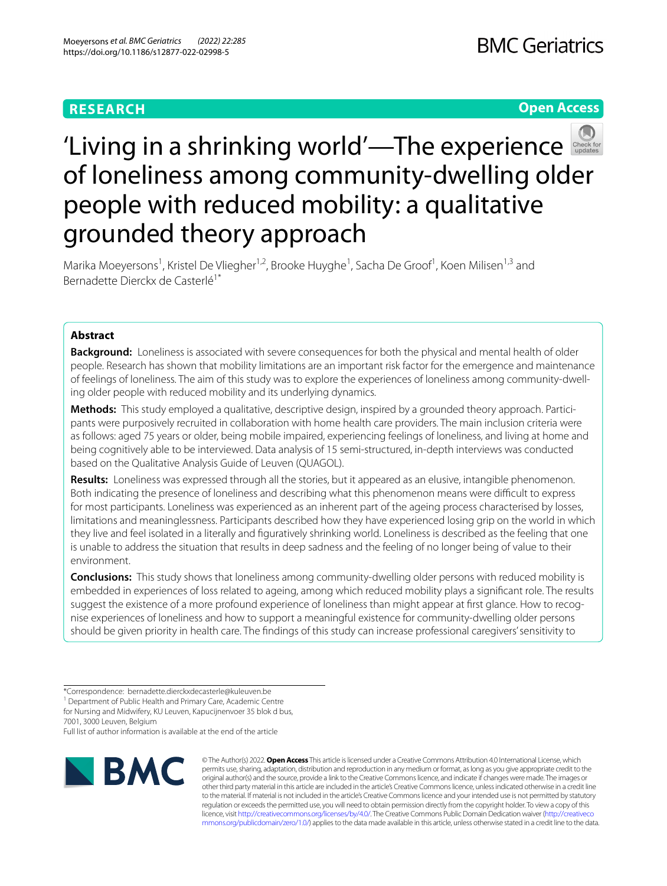# **RESEARCH**

**Open Access**



# 'Livingin a shrinking world'—The experience of loneliness among community-dwelling older people with reduced mobility: a qualitative grounded theory approach

Marika Moeyersons<sup>1</sup>, Kristel De Vliegher<sup>1,2</sup>, Brooke Huyghe<sup>1</sup>, Sacha De Groof<sup>1</sup>, Koen Milisen<sup>1,3</sup> and Bernadette Dierckx de Casterlé<sup>1\*</sup>

# **Abstract**

**Background:** Loneliness is associated with severe consequences for both the physical and mental health of older people. Research has shown that mobility limitations are an important risk factor for the emergence and maintenance of feelings of loneliness. The aim of this study was to explore the experiences of loneliness among community-dwelling older people with reduced mobility and its underlying dynamics.

**Methods:** This study employed a qualitative, descriptive design, inspired by a grounded theory approach. Participants were purposively recruited in collaboration with home health care providers. The main inclusion criteria were as follows: aged 75 years or older, being mobile impaired, experiencing feelings of loneliness, and living at home and being cognitively able to be interviewed. Data analysis of 15 semi-structured, in-depth interviews was conducted based on the Qualitative Analysis Guide of Leuven (QUAGOL).

**Results:** Loneliness was expressed through all the stories, but it appeared as an elusive, intangible phenomenon. Both indicating the presence of loneliness and describing what this phenomenon means were difficult to express for most participants. Loneliness was experienced as an inherent part of the ageing process characterised by losses, limitations and meaninglessness. Participants described how they have experienced losing grip on the world in which they live and feel isolated in a literally and fguratively shrinking world. Loneliness is described as the feeling that one is unable to address the situation that results in deep sadness and the feeling of no longer being of value to their environment.

**Conclusions:** This study shows that loneliness among community-dwelling older persons with reduced mobility is embedded in experiences of loss related to ageing, among which reduced mobility plays a signifcant role. The results suggest the existence of a more profound experience of loneliness than might appear at frst glance. How to recognise experiences of loneliness and how to support a meaningful existence for community-dwelling older persons should be given priority in health care. The fndings of this study can increase professional caregivers' sensitivity to

<sup>1</sup> Department of Public Health and Primary Care, Academic Centre for Nursing and Midwifery, KU Leuven, Kapucijnenvoer 35 blok d bus,

7001, 3000 Leuven, Belgium

Full list of author information is available at the end of the article



© The Author(s) 2022. **Open Access** This article is licensed under a Creative Commons Attribution 4.0 International License, which permits use, sharing, adaptation, distribution and reproduction in any medium or format, as long as you give appropriate credit to the original author(s) and the source, provide a link to the Creative Commons licence, and indicate if changes were made. The images or other third party material in this article are included in the article's Creative Commons licence, unless indicated otherwise in a credit line to the material. If material is not included in the article's Creative Commons licence and your intended use is not permitted by statutory regulation or exceeds the permitted use, you will need to obtain permission directly from the copyright holder. To view a copy of this licence, visit [http://creativecommons.org/licenses/by/4.0/.](http://creativecommons.org/licenses/by/4.0/) The Creative Commons Public Domain Dedication waiver ([http://creativeco](http://creativecommons.org/publicdomain/zero/1.0/) [mmons.org/publicdomain/zero/1.0/](http://creativecommons.org/publicdomain/zero/1.0/)) applies to the data made available in this article, unless otherwise stated in a credit line to the data.

<sup>\*</sup>Correspondence: bernadette.dierckxdecasterle@kuleuven.be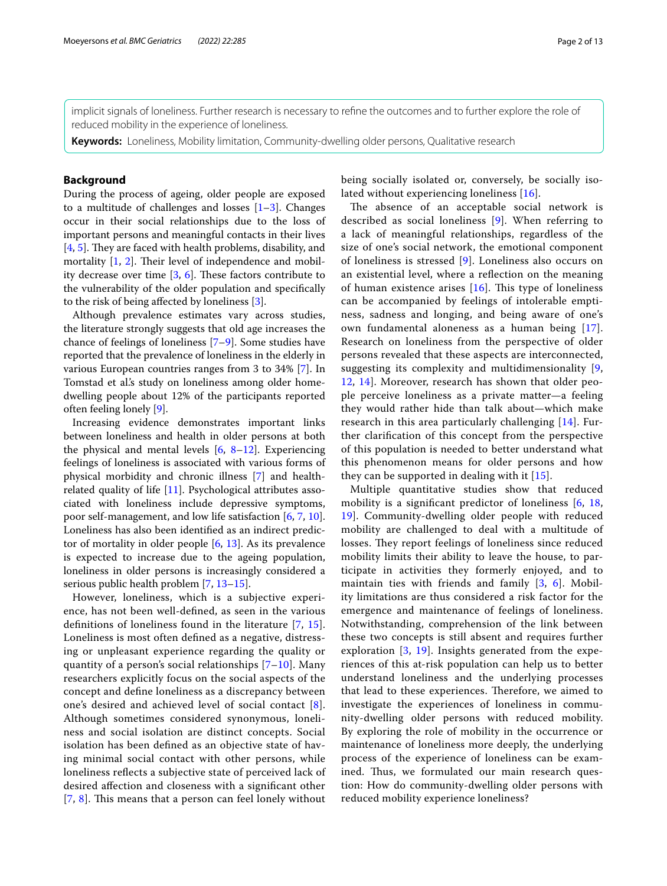implicit signals of loneliness. Further research is necessary to refne the outcomes and to further explore the role of reduced mobility in the experience of loneliness.

**Keywords:** Loneliness, Mobility limitation, Community-dwelling older persons, Qualitative research

## **Background**

During the process of ageing, older people are exposed to a multitude of challenges and losses  $[1-3]$  $[1-3]$ . Changes occur in their social relationships due to the loss of important persons and meaningful contacts in their lives  $[4, 5]$  $[4, 5]$  $[4, 5]$  $[4, 5]$ . They are faced with health problems, disability, and mortality  $[1, 2]$  $[1, 2]$  $[1, 2]$ . Their level of independence and mobility decrease over time  $[3, 6]$  $[3, 6]$  $[3, 6]$  $[3, 6]$ . These factors contribute to the vulnerability of the older population and specifcally to the risk of being afected by loneliness [[3\]](#page-11-1).

Although prevalence estimates vary across studies, the literature strongly suggests that old age increases the chance of feelings of loneliness [\[7](#page-11-6)[–9](#page-11-7)]. Some studies have reported that the prevalence of loneliness in the elderly in various European countries ranges from 3 to 34% [\[7](#page-11-6)]. In Tomstad et al.'s study on loneliness among older homedwelling people about 12% of the participants reported often feeling lonely [[9\]](#page-11-7).

Increasing evidence demonstrates important links between loneliness and health in older persons at both the physical and mental levels  $[6, 8-12]$  $[6, 8-12]$  $[6, 8-12]$  $[6, 8-12]$  $[6, 8-12]$ . Experiencing feelings of loneliness is associated with various forms of physical morbidity and chronic illness [[7\]](#page-11-6) and healthrelated quality of life [[11\]](#page-11-10). Psychological attributes associated with loneliness include depressive symptoms, poor self-management, and low life satisfaction [[6,](#page-11-5) [7,](#page-11-6) [10](#page-11-11)]. Loneliness has also been identifed as an indirect predictor of mortality in older people [[6,](#page-11-5) [13\]](#page-11-12). As its prevalence is expected to increase due to the ageing population, loneliness in older persons is increasingly considered a serious public health problem [[7,](#page-11-6) [13–](#page-11-12)[15\]](#page-11-13).

However, loneliness, which is a subjective experience, has not been well-defned, as seen in the various defnitions of loneliness found in the literature [[7](#page-11-6), [15\]](#page-11-13). Loneliness is most often defned as a negative, distressing or unpleasant experience regarding the quality or quantity of a person's social relationships [[7](#page-11-6)–[10](#page-11-11)]. Many researchers explicitly focus on the social aspects of the concept and defne loneliness as a discrepancy between one's desired and achieved level of social contact [[8\]](#page-11-8). Although sometimes considered synonymous, loneliness and social isolation are distinct concepts. Social isolation has been defned as an objective state of having minimal social contact with other persons, while loneliness refects a subjective state of perceived lack of desired afection and closeness with a signifcant other  $[7, 8]$  $[7, 8]$  $[7, 8]$  $[7, 8]$  $[7, 8]$ . This means that a person can feel lonely without being socially isolated or, conversely, be socially isolated without experiencing loneliness [\[16\]](#page-11-14).

The absence of an acceptable social network is described as social loneliness [\[9](#page-11-7)]. When referring to a lack of meaningful relationships, regardless of the size of one's social network, the emotional component of loneliness is stressed [\[9](#page-11-7)]. Loneliness also occurs on an existential level, where a refection on the meaning of human existence arises  $[16]$  $[16]$ . This type of loneliness can be accompanied by feelings of intolerable emptiness, sadness and longing, and being aware of one's own fundamental aloneness as a human being [[17](#page-11-15)]. Research on loneliness from the perspective of older persons revealed that these aspects are interconnected, suggesting its complexity and multidimensionality [\[9](#page-11-7), [12,](#page-11-9) [14\]](#page-11-16). Moreover, research has shown that older people perceive loneliness as a private matter—a feeling they would rather hide than talk about—which make research in this area particularly challenging [[14\]](#page-11-16). Further clarifcation of this concept from the perspective of this population is needed to better understand what this phenomenon means for older persons and how they can be supported in dealing with it [[15\]](#page-11-13).

Multiple quantitative studies show that reduced mobility is a signifcant predictor of loneliness [[6,](#page-11-5) [18](#page-11-17), [19\]](#page-11-18). Community-dwelling older people with reduced mobility are challenged to deal with a multitude of losses. They report feelings of loneliness since reduced mobility limits their ability to leave the house, to participate in activities they formerly enjoyed, and to maintain ties with friends and family [\[3](#page-11-1), [6\]](#page-11-5). Mobility limitations are thus considered a risk factor for the emergence and maintenance of feelings of loneliness. Notwithstanding, comprehension of the link between these two concepts is still absent and requires further exploration [[3](#page-11-1), [19](#page-11-18)]. Insights generated from the experiences of this at-risk population can help us to better understand loneliness and the underlying processes that lead to these experiences. Therefore, we aimed to investigate the experiences of loneliness in community-dwelling older persons with reduced mobility. By exploring the role of mobility in the occurrence or maintenance of loneliness more deeply, the underlying process of the experience of loneliness can be examined. Thus, we formulated our main research question: How do community-dwelling older persons with reduced mobility experience loneliness?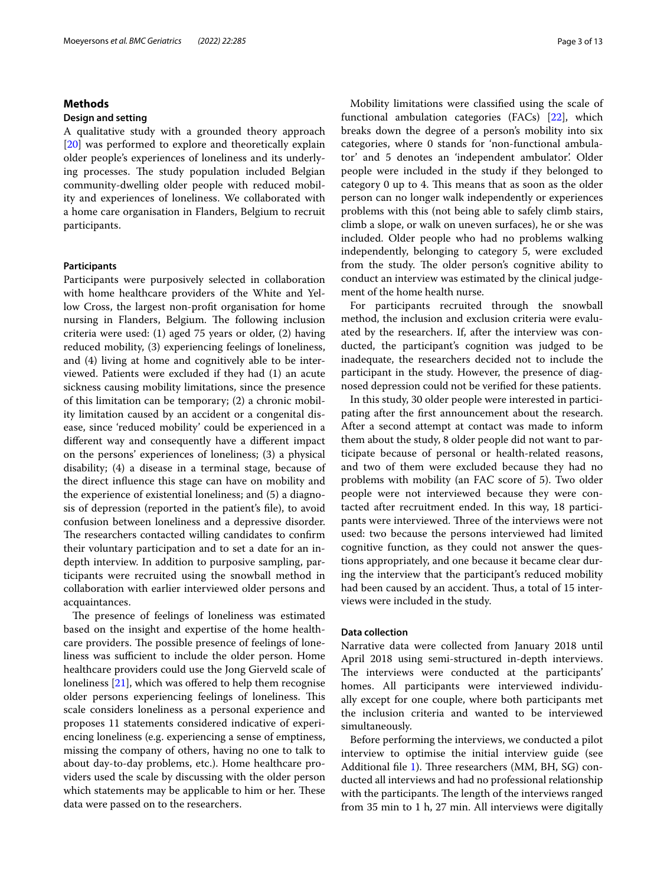## **Methods**

#### **Design and setting**

A qualitative study with a grounded theory approach [[20\]](#page-11-19) was performed to explore and theoretically explain older people's experiences of loneliness and its underlying processes. The study population included Belgian community-dwelling older people with reduced mobility and experiences of loneliness. We collaborated with a home care organisation in Flanders, Belgium to recruit participants.

#### **Participants**

Participants were purposively selected in collaboration with home healthcare providers of the White and Yellow Cross, the largest non-proft organisation for home nursing in Flanders, Belgium. The following inclusion criteria were used: (1) aged 75 years or older, (2) having reduced mobility, (3) experiencing feelings of loneliness, and (4) living at home and cognitively able to be interviewed. Patients were excluded if they had (1) an acute sickness causing mobility limitations, since the presence of this limitation can be temporary; (2) a chronic mobility limitation caused by an accident or a congenital disease, since 'reduced mobility' could be experienced in a diferent way and consequently have a diferent impact on the persons' experiences of loneliness; (3) a physical disability; (4) a disease in a terminal stage, because of the direct infuence this stage can have on mobility and the experience of existential loneliness; and (5) a diagnosis of depression (reported in the patient's fle), to avoid confusion between loneliness and a depressive disorder. The researchers contacted willing candidates to confirm their voluntary participation and to set a date for an indepth interview. In addition to purposive sampling, participants were recruited using the snowball method in collaboration with earlier interviewed older persons and acquaintances.

The presence of feelings of loneliness was estimated based on the insight and expertise of the home healthcare providers. The possible presence of feelings of loneliness was sufficient to include the older person. Home healthcare providers could use the Jong Gierveld scale of loneliness [[21\]](#page-11-20), which was ofered to help them recognise older persons experiencing feelings of loneliness. This scale considers loneliness as a personal experience and proposes 11 statements considered indicative of experiencing loneliness (e.g. experiencing a sense of emptiness, missing the company of others, having no one to talk to about day-to-day problems, etc.). Home healthcare providers used the scale by discussing with the older person which statements may be applicable to him or her. These data were passed on to the researchers.

Mobility limitations were classifed using the scale of functional ambulation categories (FACs) [\[22\]](#page-11-21), which breaks down the degree of a person's mobility into six categories, where 0 stands for 'non-functional ambulator' and 5 denotes an 'independent ambulator'. Older people were included in the study if they belonged to category 0 up to 4. This means that as soon as the older person can no longer walk independently or experiences problems with this (not being able to safely climb stairs, climb a slope, or walk on uneven surfaces), he or she was included. Older people who had no problems walking independently, belonging to category 5, were excluded from the study. The older person's cognitive ability to conduct an interview was estimated by the clinical judgement of the home health nurse.

For participants recruited through the snowball method, the inclusion and exclusion criteria were evaluated by the researchers. If, after the interview was conducted, the participant's cognition was judged to be inadequate, the researchers decided not to include the participant in the study. However, the presence of diagnosed depression could not be verifed for these patients.

In this study, 30 older people were interested in participating after the frst announcement about the research. After a second attempt at contact was made to inform them about the study, 8 older people did not want to participate because of personal or health-related reasons, and two of them were excluded because they had no problems with mobility (an FAC score of 5). Two older people were not interviewed because they were contacted after recruitment ended. In this way, 18 participants were interviewed. Three of the interviews were not used: two because the persons interviewed had limited cognitive function, as they could not answer the questions appropriately, and one because it became clear during the interview that the participant's reduced mobility had been caused by an accident. Thus, a total of 15 interviews were included in the study.

#### **Data collection**

Narrative data were collected from January 2018 until April 2018 using semi-structured in-depth interviews. The interviews were conducted at the participants' homes. All participants were interviewed individually except for one couple, where both participants met the inclusion criteria and wanted to be interviewed simultaneously.

Before performing the interviews, we conducted a pilot interview to optimise the initial interview guide (see Additional file [1\)](#page-10-0). Three researchers  $(MM, BH, SG)$  conducted all interviews and had no professional relationship with the participants. The length of the interviews ranged from 35 min to 1 h, 27 min. All interviews were digitally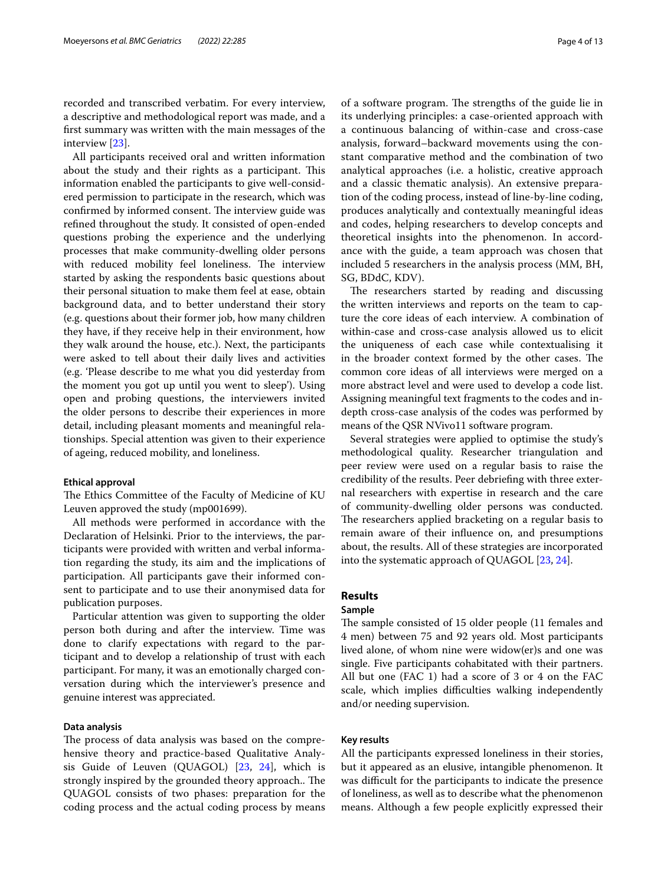recorded and transcribed verbatim. For every interview, a descriptive and methodological report was made, and a frst summary was written with the main messages of the interview [[23\]](#page-11-22).

All participants received oral and written information about the study and their rights as a participant. This information enabled the participants to give well-considered permission to participate in the research, which was confirmed by informed consent. The interview guide was refned throughout the study. It consisted of open-ended questions probing the experience and the underlying processes that make community-dwelling older persons with reduced mobility feel loneliness. The interview started by asking the respondents basic questions about their personal situation to make them feel at ease, obtain background data, and to better understand their story (e.g. questions about their former job, how many children they have, if they receive help in their environment, how they walk around the house, etc.). Next, the participants were asked to tell about their daily lives and activities (e.g. 'Please describe to me what you did yesterday from the moment you got up until you went to sleep'). Using open and probing questions, the interviewers invited the older persons to describe their experiences in more detail, including pleasant moments and meaningful relationships. Special attention was given to their experience of ageing, reduced mobility, and loneliness.

## **Ethical approval**

The Ethics Committee of the Faculty of Medicine of KU Leuven approved the study (mp001699).

All methods were performed in accordance with the Declaration of Helsinki. Prior to the interviews, the participants were provided with written and verbal information regarding the study, its aim and the implications of participation. All participants gave their informed consent to participate and to use their anonymised data for publication purposes.

Particular attention was given to supporting the older person both during and after the interview. Time was done to clarify expectations with regard to the participant and to develop a relationship of trust with each participant. For many, it was an emotionally charged conversation during which the interviewer's presence and genuine interest was appreciated.

#### **Data analysis**

The process of data analysis was based on the comprehensive theory and practice-based Qualitative Analysis Guide of Leuven (QUAGOL) [\[23](#page-11-22), [24](#page-11-23)], which is strongly inspired by the grounded theory approach.. The QUAGOL consists of two phases: preparation for the coding process and the actual coding process by means of a software program. The strengths of the guide lie in its underlying principles: a case-oriented approach with a continuous balancing of within-case and cross-case analysis, forward–backward movements using the constant comparative method and the combination of two analytical approaches (i.e. a holistic, creative approach and a classic thematic analysis). An extensive preparation of the coding process, instead of line-by-line coding, produces analytically and contextually meaningful ideas and codes, helping researchers to develop concepts and theoretical insights into the phenomenon. In accordance with the guide, a team approach was chosen that included 5 researchers in the analysis process (MM, BH, SG, BDdC, KDV).

The researchers started by reading and discussing the written interviews and reports on the team to capture the core ideas of each interview. A combination of within-case and cross-case analysis allowed us to elicit the uniqueness of each case while contextualising it in the broader context formed by the other cases. The common core ideas of all interviews were merged on a more abstract level and were used to develop a code list. Assigning meaningful text fragments to the codes and indepth cross-case analysis of the codes was performed by means of the QSR NVivo11 software program.

Several strategies were applied to optimise the study's methodological quality. Researcher triangulation and peer review were used on a regular basis to raise the credibility of the results. Peer debriefng with three external researchers with expertise in research and the care of community-dwelling older persons was conducted. The researchers applied bracketing on a regular basis to remain aware of their infuence on, and presumptions about, the results. All of these strategies are incorporated into the systematic approach of QUAGOL [\[23,](#page-11-22) [24](#page-11-23)].

#### **Results**

#### **Sample**

The sample consisted of 15 older people (11 females and 4 men) between 75 and 92 years old. Most participants lived alone, of whom nine were widow(er)s and one was single. Five participants cohabitated with their partners. All but one (FAC 1) had a score of 3 or 4 on the FAC scale, which implies difficulties walking independently and/or needing supervision.

## **Key results**

All the participants expressed loneliness in their stories, but it appeared as an elusive, intangible phenomenon. It was difficult for the participants to indicate the presence of loneliness, as well as to describe what the phenomenon means. Although a few people explicitly expressed their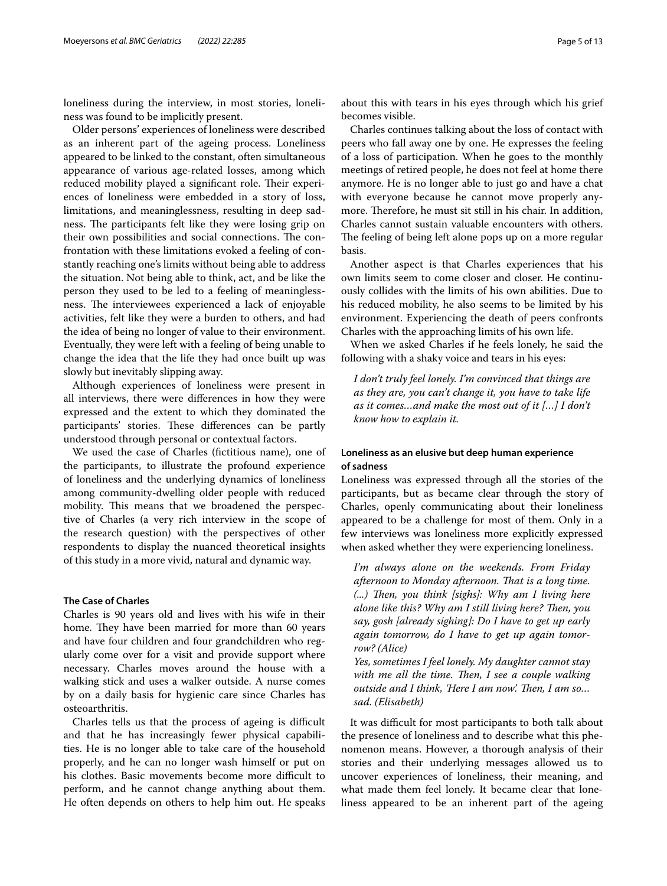loneliness during the interview, in most stories, loneliness was found to be implicitly present.

Older persons' experiences of loneliness were described as an inherent part of the ageing process. Loneliness appeared to be linked to the constant, often simultaneous appearance of various age-related losses, among which reduced mobility played a significant role. Their experiences of loneliness were embedded in a story of loss, limitations, and meaninglessness, resulting in deep sadness. The participants felt like they were losing grip on their own possibilities and social connections. The confrontation with these limitations evoked a feeling of constantly reaching one's limits without being able to address the situation. Not being able to think, act, and be like the person they used to be led to a feeling of meaninglessness. The interviewees experienced a lack of enjoyable activities, felt like they were a burden to others, and had the idea of being no longer of value to their environment. Eventually, they were left with a feeling of being unable to change the idea that the life they had once built up was slowly but inevitably slipping away.

Although experiences of loneliness were present in all interviews, there were diferences in how they were expressed and the extent to which they dominated the participants' stories. These differences can be partly understood through personal or contextual factors.

We used the case of Charles (fictitious name), one of the participants, to illustrate the profound experience of loneliness and the underlying dynamics of loneliness among community-dwelling older people with reduced mobility. This means that we broadened the perspective of Charles (a very rich interview in the scope of the research question) with the perspectives of other respondents to display the nuanced theoretical insights of this study in a more vivid, natural and dynamic way.

## **The Case of Charles**

Charles is 90 years old and lives with his wife in their home. They have been married for more than 60 years and have four children and four grandchildren who regularly come over for a visit and provide support where necessary. Charles moves around the house with a walking stick and uses a walker outside. A nurse comes by on a daily basis for hygienic care since Charles has osteoarthritis.

Charles tells us that the process of ageing is difficult and that he has increasingly fewer physical capabilities. He is no longer able to take care of the household properly, and he can no longer wash himself or put on his clothes. Basic movements become more difficult to perform, and he cannot change anything about them. He often depends on others to help him out. He speaks

about this with tears in his eyes through which his grief becomes visible.

Charles continues talking about the loss of contact with peers who fall away one by one. He expresses the feeling of a loss of participation. When he goes to the monthly meetings of retired people, he does not feel at home there anymore. He is no longer able to just go and have a chat with everyone because he cannot move properly anymore. Therefore, he must sit still in his chair. In addition, Charles cannot sustain valuable encounters with others. The feeling of being left alone pops up on a more regular basis.

Another aspect is that Charles experiences that his own limits seem to come closer and closer. He continuously collides with the limits of his own abilities. Due to his reduced mobility, he also seems to be limited by his environment. Experiencing the death of peers confronts Charles with the approaching limits of his own life.

When we asked Charles if he feels lonely, he said the following with a shaky voice and tears in his eyes:

*I don't truly feel lonely. I'm convinced that things are as they are, you can't change it, you have to take life as it comes…and make the most out of it […] I don't know how to explain it.*

## **Loneliness as an elusive but deep human experience of sadness**

Loneliness was expressed through all the stories of the participants, but as became clear through the story of Charles, openly communicating about their loneliness appeared to be a challenge for most of them. Only in a few interviews was loneliness more explicitly expressed when asked whether they were experiencing loneliness.

*I'm always alone on the weekends. From Friday afternoon to Monday afternoon. Tat is a long time. (...)* Then, you think [sighs]: Why am I living here *alone like this? Why am I still living here? Then, you say, gosh [already sighing]: Do I have to get up early again tomorrow, do I have to get up again tomorrow? (Alice)*

*Yes, sometimes I feel lonely. My daughter cannot stay*  with me all the time. Then, I see a couple walking *outside and I think, 'Here I am now'. Then, I am so... sad. (Elisabeth)*

It was difficult for most participants to both talk about the presence of loneliness and to describe what this phenomenon means. However, a thorough analysis of their stories and their underlying messages allowed us to uncover experiences of loneliness, their meaning, and what made them feel lonely. It became clear that loneliness appeared to be an inherent part of the ageing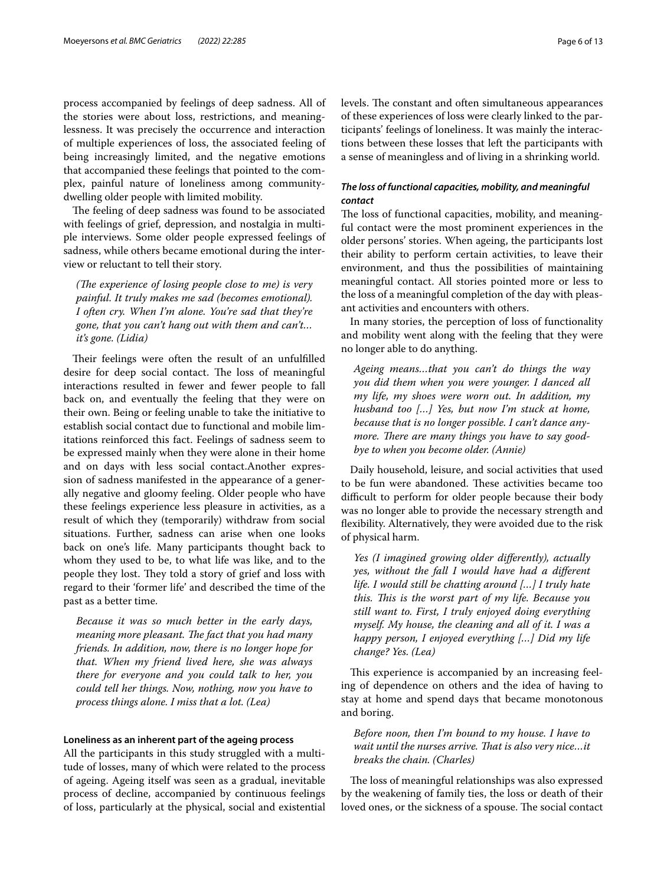process accompanied by feelings of deep sadness. All of the stories were about loss, restrictions, and meaninglessness. It was precisely the occurrence and interaction of multiple experiences of loss, the associated feeling of being increasingly limited, and the negative emotions that accompanied these feelings that pointed to the complex, painful nature of loneliness among communitydwelling older people with limited mobility.

The feeling of deep sadness was found to be associated with feelings of grief, depression, and nostalgia in multiple interviews. Some older people expressed feelings of sadness, while others became emotional during the interview or reluctant to tell their story.

*(The experience of losing people close to me) is very painful. It truly makes me sad (becomes emotional). I often cry. When I'm alone. You're sad that they're gone, that you can't hang out with them and can't… it's gone. (Lidia)*

Their feelings were often the result of an unfulfilled desire for deep social contact. The loss of meaningful interactions resulted in fewer and fewer people to fall back on, and eventually the feeling that they were on their own. Being or feeling unable to take the initiative to establish social contact due to functional and mobile limitations reinforced this fact. Feelings of sadness seem to be expressed mainly when they were alone in their home and on days with less social contact.Another expression of sadness manifested in the appearance of a generally negative and gloomy feeling. Older people who have these feelings experience less pleasure in activities, as a result of which they (temporarily) withdraw from social situations. Further, sadness can arise when one looks back on one's life. Many participants thought back to whom they used to be, to what life was like, and to the people they lost. They told a story of grief and loss with regard to their 'former life' and described the time of the past as a better time.

*Because it was so much better in the early days, meaning more pleasant. The fact that you had many friends. In addition, now, there is no longer hope for that. When my friend lived here, she was always there for everyone and you could talk to her, you could tell her things. Now, nothing, now you have to process things alone. I miss that a lot. (Lea)*

#### **Loneliness as an inherent part of the ageing process**

All the participants in this study struggled with a multitude of losses, many of which were related to the process of ageing. Ageing itself was seen as a gradual, inevitable process of decline, accompanied by continuous feelings of loss, particularly at the physical, social and existential levels. The constant and often simultaneous appearances of these experiences of loss were clearly linked to the participants' feelings of loneliness. It was mainly the interactions between these losses that left the participants with a sense of meaningless and of living in a shrinking world.

## *The loss of functional capacities, mobility, and meaningful contact*

The loss of functional capacities, mobility, and meaningful contact were the most prominent experiences in the older persons' stories. When ageing, the participants lost their ability to perform certain activities, to leave their environment, and thus the possibilities of maintaining meaningful contact. All stories pointed more or less to the loss of a meaningful completion of the day with pleasant activities and encounters with others.

In many stories, the perception of loss of functionality and mobility went along with the feeling that they were no longer able to do anything.

*Ageing means…that you can't do things the way you did them when you were younger. I danced all my life, my shoes were worn out. In addition, my husband too […] Yes, but now I'm stuck at home, because that is no longer possible. I can't dance anymore. There are many things you have to say goodbye to when you become older. (Annie)*

Daily household, leisure, and social activities that used to be fun were abandoned. These activities became too difficult to perform for older people because their body was no longer able to provide the necessary strength and fexibility. Alternatively, they were avoided due to the risk of physical harm.

*Yes (I imagined growing older diferently), actually yes, without the fall I would have had a diferent life. I would still be chatting around […] I truly hate this. Tis is the worst part of my life. Because you still want to. First, I truly enjoyed doing everything myself. My house, the cleaning and all of it. I was a happy person, I enjoyed everything […] Did my life change? Yes. (Lea)*

This experience is accompanied by an increasing feeling of dependence on others and the idea of having to stay at home and spend days that became monotonous and boring.

# *Before noon, then I'm bound to my house. I have to wait until the nurses arrive. That is also very nice...it breaks the chain. (Charles)*

The loss of meaningful relationships was also expressed by the weakening of family ties, the loss or death of their loved ones, or the sickness of a spouse. The social contact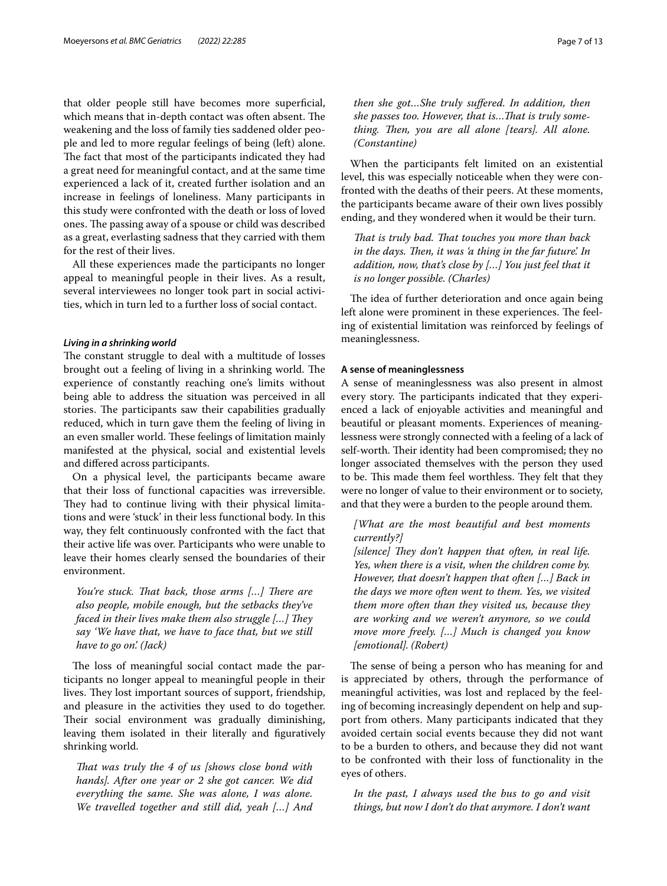that older people still have becomes more superficial, which means that in-depth contact was often absent. The weakening and the loss of family ties saddened older people and led to more regular feelings of being (left) alone. The fact that most of the participants indicated they had a great need for meaningful contact, and at the same time experienced a lack of it, created further isolation and an increase in feelings of loneliness. Many participants in this study were confronted with the death or loss of loved ones. The passing away of a spouse or child was described as a great, everlasting sadness that they carried with them for the rest of their lives.

All these experiences made the participants no longer appeal to meaningful people in their lives. As a result, several interviewees no longer took part in social activities, which in turn led to a further loss of social contact.

#### *Living in a shrinking world*

The constant struggle to deal with a multitude of losses brought out a feeling of living in a shrinking world. The experience of constantly reaching one's limits without being able to address the situation was perceived in all stories. The participants saw their capabilities gradually reduced, which in turn gave them the feeling of living in an even smaller world. These feelings of limitation mainly manifested at the physical, social and existential levels and difered across participants.

On a physical level, the participants became aware that their loss of functional capacities was irreversible. They had to continue living with their physical limitations and were 'stuck' in their less functional body. In this way, they felt continuously confronted with the fact that their active life was over. Participants who were unable to leave their homes clearly sensed the boundaries of their environment.

*You're stuck. That back, those arms [...] There are also people, mobile enough, but the setbacks they've faced in their lives make them also struggle [...] They say 'We have that, we have to face that, but we still have to go on'. (Jack)*

The loss of meaningful social contact made the participants no longer appeal to meaningful people in their lives. They lost important sources of support, friendship, and pleasure in the activities they used to do together. Their social environment was gradually diminishing, leaving them isolated in their literally and fguratively shrinking world.

*That was truly the 4 of us [shows close bond with hands]. After one year or 2 she got cancer. We did everything the same. She was alone, I was alone. We travelled together and still did, yeah […] And*  *then she got…She truly sufered. In addition, then she passes too. However, that is…Tat is truly something. Then, you are all alone [tears]. All alone. (Constantine)*

When the participants felt limited on an existential level, this was especially noticeable when they were confronted with the deaths of their peers. At these moments, the participants became aware of their own lives possibly ending, and they wondered when it would be their turn.

*That is truly bad. That touches you more than back in the days. Then, it was 'a thing in the far future'. In addition, now, that's close by […] You just feel that it is no longer possible. (Charles)*

The idea of further deterioration and once again being left alone were prominent in these experiences. The feeling of existential limitation was reinforced by feelings of meaninglessness.

#### **A sense of meaninglessness**

A sense of meaninglessness was also present in almost every story. The participants indicated that they experienced a lack of enjoyable activities and meaningful and beautiful or pleasant moments. Experiences of meaninglessness were strongly connected with a feeling of a lack of self-worth. Their identity had been compromised; they no longer associated themselves with the person they used to be. This made them feel worthless. They felt that they were no longer of value to their environment or to society, and that they were a burden to the people around them.

## *[What are the most beautiful and best moments currently?]*

*[silence]* They don't happen that often, in real life. *Yes, when there is a visit, when the children come by. However, that doesn't happen that often […] Back in the days we more often went to them. Yes, we visited them more often than they visited us, because they are working and we weren't anymore, so we could move more freely. […] Much is changed you know [emotional]. (Robert)*

The sense of being a person who has meaning for and is appreciated by others, through the performance of meaningful activities, was lost and replaced by the feeling of becoming increasingly dependent on help and support from others. Many participants indicated that they avoided certain social events because they did not want to be a burden to others, and because they did not want to be confronted with their loss of functionality in the eyes of others.

*In the past, I always used the bus to go and visit things, but now I don't do that anymore. I don't want*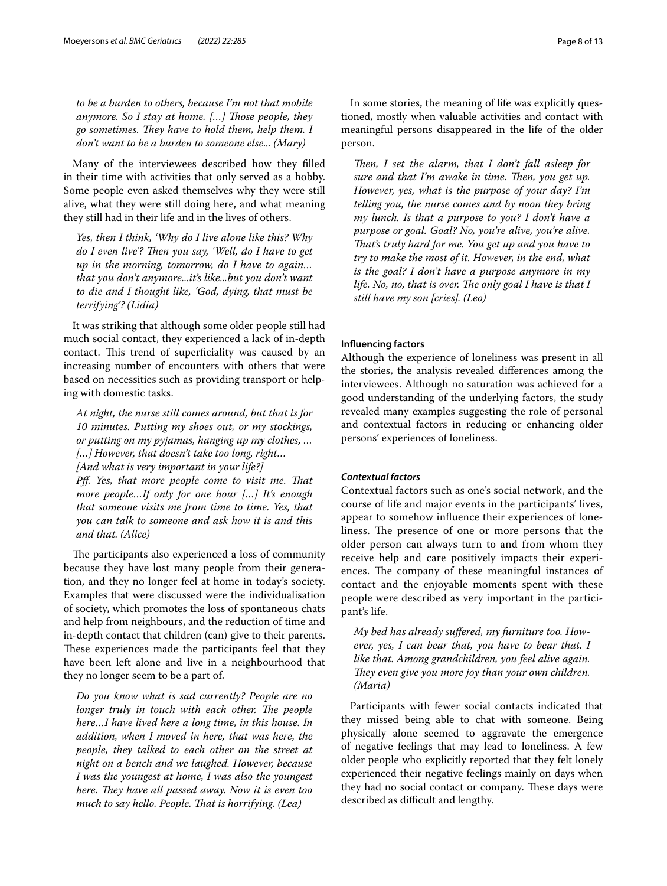*to be a burden to others, because I'm not that mobile anymore. So I stay at home. […] Tose people, they go sometimes. Tey have to hold them, help them. I don't want to be a burden to someone else... (Mary)*

Many of the interviewees described how they flled in their time with activities that only served as a hobby. Some people even asked themselves why they were still alive, what they were still doing here, and what meaning they still had in their life and in the lives of others.

*Yes, then I think, 'Why do I live alone like this? Why*  do I even live'? Then you say, 'Well, do I have to get *up in the morning, tomorrow, do I have to again… that you don't anymore...it's like...but you don't want to die and I thought like, 'God, dying, that must be terrifying'? (Lidia)*

It was striking that although some older people still had much social contact, they experienced a lack of in-depth contact. This trend of superficiality was caused by an increasing number of encounters with others that were based on necessities such as providing transport or helping with domestic tasks.

*At night, the nurse still comes around, but that is for 10 minutes. Putting my shoes out, or my stockings, or putting on my pyjamas, hanging up my clothes, … […] However, that doesn't take too long, right… [And what is very important in your life?] Pff.* Yes, that more people come to visit me. That *more people…If only for one hour […] It's enough that someone visits me from time to time. Yes, that you can talk to someone and ask how it is and this and that. (Alice)*

The participants also experienced a loss of community because they have lost many people from their generation, and they no longer feel at home in today's society. Examples that were discussed were the individualisation of society, which promotes the loss of spontaneous chats and help from neighbours, and the reduction of time and in-depth contact that children (can) give to their parents. These experiences made the participants feel that they have been left alone and live in a neighbourhood that they no longer seem to be a part of.

*Do you know what is sad currently? People are no longer truly in touch with each other. The people here…I have lived here a long time, in this house. In addition, when I moved in here, that was here, the people, they talked to each other on the street at night on a bench and we laughed. However, because I was the youngest at home, I was also the youngest here. They have all passed away. Now it is even too much to say hello. People. Tat is horrifying. (Lea)*

In some stories, the meaning of life was explicitly questioned, mostly when valuable activities and contact with meaningful persons disappeared in the life of the older person.

*Then, I set the alarm, that I don't fall asleep for sure and that I'm awake in time. Then, you get up. However, yes, what is the purpose of your day? I'm telling you, the nurse comes and by noon they bring my lunch. Is that a purpose to you? I don't have a purpose or goal. Goal? No, you're alive, you're alive. Tat's truly hard for me. You get up and you have to try to make the most of it. However, in the end, what is the goal? I don't have a purpose anymore in my life. No, no, that is over. The only goal I have is that I still have my son [cries]. (Leo)*

#### **Infuencing factors**

Although the experience of loneliness was present in all the stories, the analysis revealed diferences among the interviewees. Although no saturation was achieved for a good understanding of the underlying factors, the study revealed many examples suggesting the role of personal and contextual factors in reducing or enhancing older persons' experiences of loneliness.

#### *Contextual factors*

Contextual factors such as one's social network, and the course of life and major events in the participants' lives, appear to somehow infuence their experiences of loneliness. The presence of one or more persons that the older person can always turn to and from whom they receive help and care positively impacts their experiences. The company of these meaningful instances of contact and the enjoyable moments spent with these people were described as very important in the participant's life.

*My bed has already sufered, my furniture too. However, yes, I can bear that, you have to bear that. I like that. Among grandchildren, you feel alive again. They even give you more joy than your own children. (Maria)*

Participants with fewer social contacts indicated that they missed being able to chat with someone. Being physically alone seemed to aggravate the emergence of negative feelings that may lead to loneliness. A few older people who explicitly reported that they felt lonely experienced their negative feelings mainly on days when they had no social contact or company. These days were described as difficult and lengthy.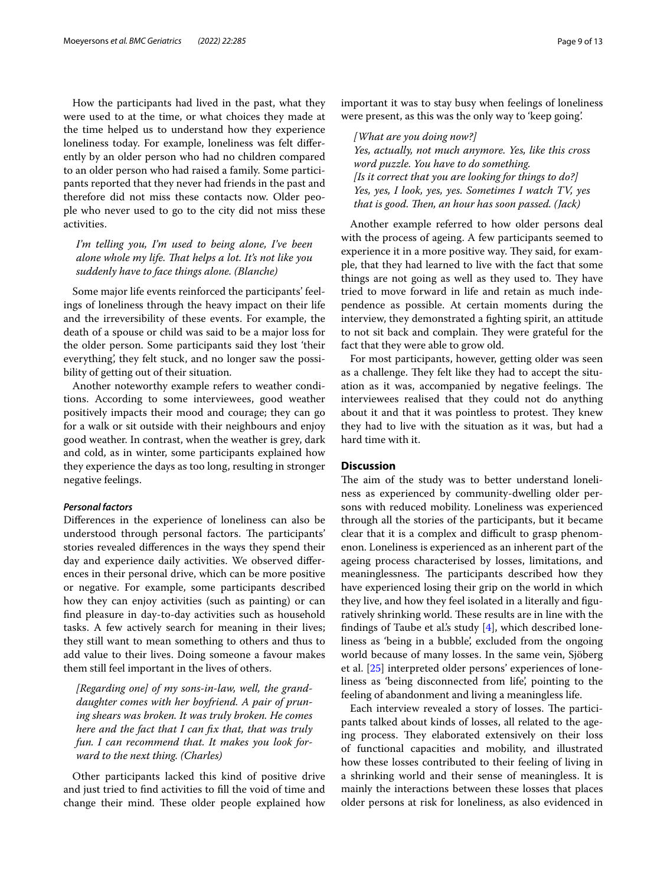How the participants had lived in the past, what they were used to at the time, or what choices they made at the time helped us to understand how they experience loneliness today. For example, loneliness was felt diferently by an older person who had no children compared to an older person who had raised a family. Some participants reported that they never had friends in the past and therefore did not miss these contacts now. Older people who never used to go to the city did not miss these activities.

*I'm telling you, I'm used to being alone, I've been alone whole my life. Tat helps a lot. It's not like you suddenly have to face things alone. (Blanche)*

Some major life events reinforced the participants' feelings of loneliness through the heavy impact on their life and the irreversibility of these events. For example, the death of a spouse or child was said to be a major loss for the older person. Some participants said they lost 'their everything', they felt stuck, and no longer saw the possibility of getting out of their situation.

Another noteworthy example refers to weather conditions. According to some interviewees, good weather positively impacts their mood and courage; they can go for a walk or sit outside with their neighbours and enjoy good weather. In contrast, when the weather is grey, dark and cold, as in winter, some participants explained how they experience the days as too long, resulting in stronger negative feelings.

### *Personal factors*

Diferences in the experience of loneliness can also be understood through personal factors. The participants' stories revealed diferences in the ways they spend their day and experience daily activities. We observed diferences in their personal drive, which can be more positive or negative. For example, some participants described how they can enjoy activities (such as painting) or can fnd pleasure in day-to-day activities such as household tasks. A few actively search for meaning in their lives; they still want to mean something to others and thus to add value to their lives. Doing someone a favour makes them still feel important in the lives of others.

*[Regarding one] of my sons-in-law, well, the granddaughter comes with her boyfriend. A pair of pruning shears was broken. It was truly broken. He comes here and the fact that I can fx that, that was truly fun. I can recommend that. It makes you look forward to the next thing. (Charles)*

Other participants lacked this kind of positive drive and just tried to fnd activities to fll the void of time and change their mind. These older people explained how important it was to stay busy when feelings of loneliness were present, as this was the only way to 'keep going'.

*[What are you doing now?] Yes, actually, not much anymore. Yes, like this cross word puzzle. You have to do something. [Is it correct that you are looking for things to do?] Yes, yes, I look, yes, yes. Sometimes I watch TV, yes that is good. Then, an hour has soon passed. (Jack)* 

Another example referred to how older persons deal with the process of ageing. A few participants seemed to experience it in a more positive way. They said, for example, that they had learned to live with the fact that some things are not going as well as they used to. They have tried to move forward in life and retain as much independence as possible. At certain moments during the interview, they demonstrated a fghting spirit, an attitude to not sit back and complain. They were grateful for the fact that they were able to grow old.

For most participants, however, getting older was seen as a challenge. They felt like they had to accept the situation as it was, accompanied by negative feelings. The interviewees realised that they could not do anything about it and that it was pointless to protest. They knew they had to live with the situation as it was, but had a hard time with it.

### **Discussion**

The aim of the study was to better understand loneliness as experienced by community-dwelling older persons with reduced mobility. Loneliness was experienced through all the stories of the participants, but it became clear that it is a complex and difficult to grasp phenomenon. Loneliness is experienced as an inherent part of the ageing process characterised by losses, limitations, and meaninglessness. The participants described how they have experienced losing their grip on the world in which they live, and how they feel isolated in a literally and fguratively shrinking world. These results are in line with the findings of Taube et al's study  $[4]$  $[4]$ , which described loneliness as 'being in a bubble', excluded from the ongoing world because of many losses. In the same vein, Sjöberg et al. [\[25](#page-11-24)] interpreted older persons' experiences of loneliness as 'being disconnected from life', pointing to the feeling of abandonment and living a meaningless life.

Each interview revealed a story of losses. The participants talked about kinds of losses, all related to the ageing process. They elaborated extensively on their loss of functional capacities and mobility, and illustrated how these losses contributed to their feeling of living in a shrinking world and their sense of meaningless. It is mainly the interactions between these losses that places older persons at risk for loneliness, as also evidenced in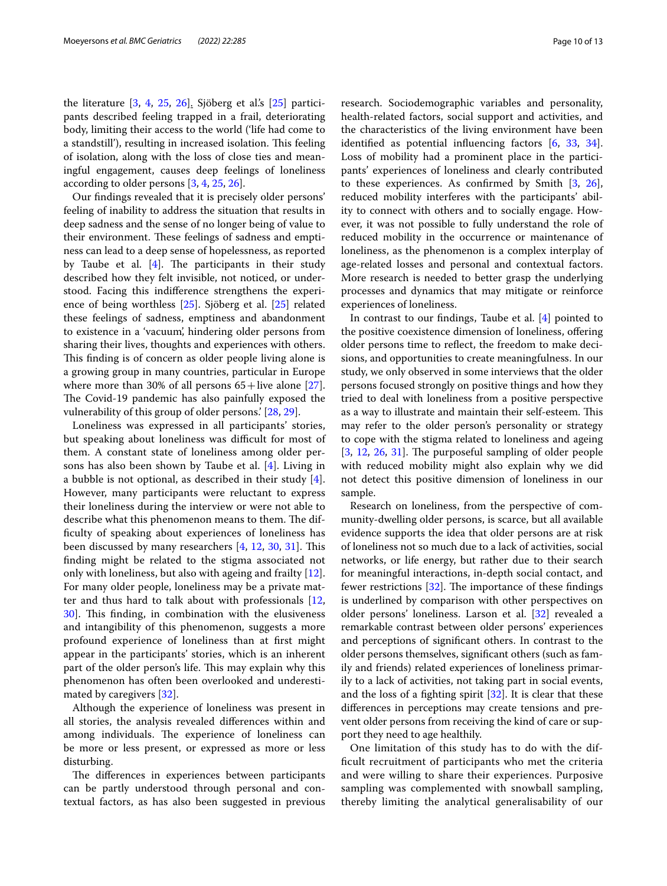the literature [[3,](#page-11-1) [4,](#page-11-2) [25,](#page-11-24) [26\]](#page-11-25). Sjöberg et al's [\[25](#page-11-24)] participants described feeling trapped in a frail, deteriorating body, limiting their access to the world ('life had come to a standstill'), resulting in increased isolation. This feeling of isolation, along with the loss of close ties and meaningful engagement, causes deep feelings of loneliness according to older persons [[3,](#page-11-1) [4,](#page-11-2) [25](#page-11-24), [26\]](#page-11-25).

Our fndings revealed that it is precisely older persons' feeling of inability to address the situation that results in deep sadness and the sense of no longer being of value to their environment. These feelings of sadness and emptiness can lead to a deep sense of hopelessness, as reported by Taube et al.  $[4]$  $[4]$ . The participants in their study described how they felt invisible, not noticed, or understood. Facing this indiference strengthens the experience of being worthless [[25\]](#page-11-24). Sjöberg et al. [[25](#page-11-24)] related these feelings of sadness, emptiness and abandonment to existence in a 'vacuum', hindering older persons from sharing their lives, thoughts and experiences with others. This finding is of concern as older people living alone is a growing group in many countries, particular in Europe where more than 30% of all persons  $65 +$ live alone [\[27](#page-11-26)]. The Covid-19 pandemic has also painfully exposed the vulnerability of this group of older persons.' [[28,](#page-11-27) [29](#page-11-28)].

Loneliness was expressed in all participants' stories, but speaking about loneliness was difficult for most of them. A constant state of loneliness among older persons has also been shown by Taube et al. [\[4](#page-11-2)]. Living in a bubble is not optional, as described in their study [\[4](#page-11-2)]. However, many participants were reluctant to express their loneliness during the interview or were not able to describe what this phenomenon means to them. The diffculty of speaking about experiences of loneliness has been discussed by many researchers [[4,](#page-11-2) [12](#page-11-9), [30](#page-11-29), [31\]](#page-11-30). This fnding might be related to the stigma associated not only with loneliness, but also with ageing and frailty [\[12](#page-11-9)]. For many older people, loneliness may be a private matter and thus hard to talk about with professionals [\[12](#page-11-9), 30. This finding, in combination with the elusiveness and intangibility of this phenomenon, suggests a more profound experience of loneliness than at frst might appear in the participants' stories, which is an inherent part of the older person's life. This may explain why this phenomenon has often been overlooked and underestimated by caregivers [\[32](#page-11-31)].

Although the experience of loneliness was present in all stories, the analysis revealed diferences within and among individuals. The experience of loneliness can be more or less present, or expressed as more or less disturbing.

The differences in experiences between participants can be partly understood through personal and contextual factors, as has also been suggested in previous research. Sociodemographic variables and personality, health-related factors, social support and activities, and the characteristics of the living environment have been identifed as potential infuencing factors [\[6](#page-11-5), [33,](#page-12-0) [34](#page-12-1)]. Loss of mobility had a prominent place in the participants' experiences of loneliness and clearly contributed to these experiences. As confrmed by Smith [\[3,](#page-11-1) [26](#page-11-25)], reduced mobility interferes with the participants' ability to connect with others and to socially engage. However, it was not possible to fully understand the role of reduced mobility in the occurrence or maintenance of loneliness, as the phenomenon is a complex interplay of age-related losses and personal and contextual factors. More research is needed to better grasp the underlying processes and dynamics that may mitigate or reinforce experiences of loneliness.

In contrast to our fndings, Taube et al. [\[4\]](#page-11-2) pointed to the positive coexistence dimension of loneliness, ofering older persons time to refect, the freedom to make decisions, and opportunities to create meaningfulness. In our study, we only observed in some interviews that the older persons focused strongly on positive things and how they tried to deal with loneliness from a positive perspective as a way to illustrate and maintain their self-esteem. This may refer to the older person's personality or strategy to cope with the stigma related to loneliness and ageing  $[3, 12, 26, 31]$  $[3, 12, 26, 31]$  $[3, 12, 26, 31]$  $[3, 12, 26, 31]$  $[3, 12, 26, 31]$  $[3, 12, 26, 31]$  $[3, 12, 26, 31]$  $[3, 12, 26, 31]$  $[3, 12, 26, 31]$ . The purposeful sampling of older people with reduced mobility might also explain why we did not detect this positive dimension of loneliness in our sample.

Research on loneliness, from the perspective of community-dwelling older persons, is scarce, but all available evidence supports the idea that older persons are at risk of loneliness not so much due to a lack of activities, social networks, or life energy, but rather due to their search for meaningful interactions, in-depth social contact, and fewer restrictions  $[32]$  $[32]$ . The importance of these findings is underlined by comparison with other perspectives on older persons' loneliness. Larson et al. [[32\]](#page-11-31) revealed a remarkable contrast between older persons' experiences and perceptions of signifcant others. In contrast to the older persons themselves, signifcant others (such as family and friends) related experiences of loneliness primarily to a lack of activities, not taking part in social events, and the loss of a fghting spirit [\[32\]](#page-11-31). It is clear that these diferences in perceptions may create tensions and prevent older persons from receiving the kind of care or support they need to age healthily.

One limitation of this study has to do with the diffcult recruitment of participants who met the criteria and were willing to share their experiences. Purposive sampling was complemented with snowball sampling, thereby limiting the analytical generalisability of our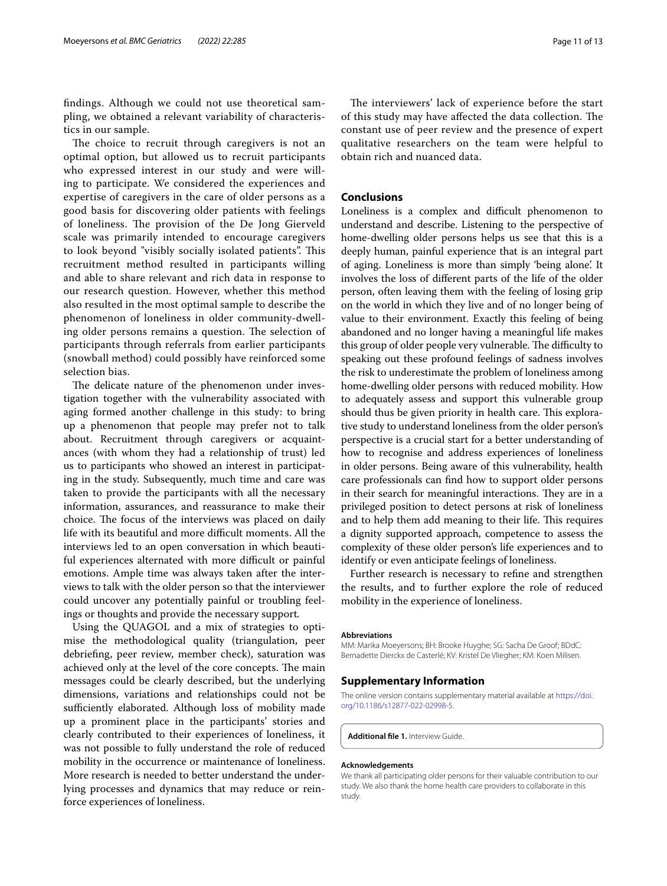fndings. Although we could not use theoretical sampling, we obtained a relevant variability of characteristics in our sample.

The choice to recruit through caregivers is not an optimal option, but allowed us to recruit participants who expressed interest in our study and were willing to participate. We considered the experiences and expertise of caregivers in the care of older persons as a good basis for discovering older patients with feelings of loneliness. The provision of the De Jong Gierveld scale was primarily intended to encourage caregivers to look beyond "visibly socially isolated patients". This recruitment method resulted in participants willing and able to share relevant and rich data in response to our research question. However, whether this method also resulted in the most optimal sample to describe the phenomenon of loneliness in older community-dwelling older persons remains a question. The selection of participants through referrals from earlier participants (snowball method) could possibly have reinforced some selection bias.

The delicate nature of the phenomenon under investigation together with the vulnerability associated with aging formed another challenge in this study: to bring up a phenomenon that people may prefer not to talk about. Recruitment through caregivers or acquaintances (with whom they had a relationship of trust) led us to participants who showed an interest in participating in the study. Subsequently, much time and care was taken to provide the participants with all the necessary information, assurances, and reassurance to make their choice. The focus of the interviews was placed on daily life with its beautiful and more difficult moments. All the interviews led to an open conversation in which beautiful experiences alternated with more difficult or painful emotions. Ample time was always taken after the interviews to talk with the older person so that the interviewer could uncover any potentially painful or troubling feelings or thoughts and provide the necessary support*.*

Using the QUAGOL and a mix of strategies to optimise the methodological quality (triangulation, peer debriefng, peer review, member check), saturation was achieved only at the level of the core concepts. The main messages could be clearly described, but the underlying dimensions, variations and relationships could not be sufficiently elaborated. Although loss of mobility made up a prominent place in the participants' stories and clearly contributed to their experiences of loneliness, it was not possible to fully understand the role of reduced mobility in the occurrence or maintenance of loneliness. More research is needed to better understand the underlying processes and dynamics that may reduce or reinforce experiences of loneliness.

The interviewers' lack of experience before the start of this study may have affected the data collection. The constant use of peer review and the presence of expert qualitative researchers on the team were helpful to obtain rich and nuanced data.

## **Conclusions**

Loneliness is a complex and difficult phenomenon to understand and describe. Listening to the perspective of home-dwelling older persons helps us see that this is a deeply human, painful experience that is an integral part of aging. Loneliness is more than simply 'being alone'. It involves the loss of diferent parts of the life of the older person, often leaving them with the feeling of losing grip on the world in which they live and of no longer being of value to their environment. Exactly this feeling of being abandoned and no longer having a meaningful life makes this group of older people very vulnerable. The difficulty to speaking out these profound feelings of sadness involves the risk to underestimate the problem of loneliness among home-dwelling older persons with reduced mobility. How to adequately assess and support this vulnerable group should thus be given priority in health care. This explorative study to understand loneliness from the older person's perspective is a crucial start for a better understanding of how to recognise and address experiences of loneliness in older persons. Being aware of this vulnerability, health care professionals can fnd how to support older persons in their search for meaningful interactions. They are in a privileged position to detect persons at risk of loneliness and to help them add meaning to their life. This requires a dignity supported approach, competence to assess the complexity of these older person's life experiences and to identify or even anticipate feelings of loneliness.

Further research is necessary to refne and strengthen the results, and to further explore the role of reduced mobility in the experience of loneliness.

#### **Abbreviations**

MM: Marika Moeyersons; BH: Brooke Huyghe; SG: Sacha De Groof; BDdC: Bernadette Dierckx de Casterlé; KV: Kristel De Vliegher; KM: Koen Milisen.

#### **Supplementary Information**

The online version contains supplementary material available at [https://doi.](https://doi.org/10.1186/s12877-022-02998-5) [org/10.1186/s12877-022-02998-5](https://doi.org/10.1186/s12877-022-02998-5).

<span id="page-10-0"></span>**Additional fle 1.** Interview Guide.

#### **Acknowledgements**

We thank all participating older persons for their valuable contribution to our study. We also thank the home health care providers to collaborate in this study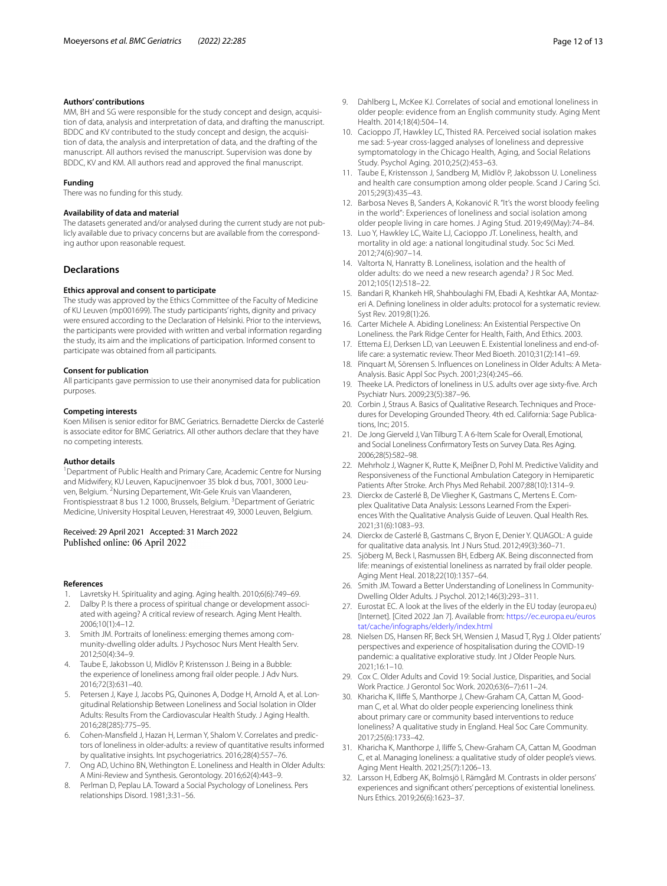#### **Authors' contributions**

MM, BH and SG were responsible for the study concept and design, acquisition of data, analysis and interpretation of data, and drafting the manuscript. BDDC and KV contributed to the study concept and design, the acquisition of data, the analysis and interpretation of data, and the drafting of the manuscript. All authors revised the manuscript. Supervision was done by BDDC, KV and KM. All authors read and approved the fnal manuscript.

#### **Funding**

There was no funding for this study.

#### **Availability of data and material**

The datasets generated and/or analysed during the current study are not publicly available due to privacy concerns but are available from the corresponding author upon reasonable request.

#### **Declarations**

#### **Ethics approval and consent to participate**

The study was approved by the Ethics Committee of the Faculty of Medicine of KU Leuven (mp001699). The study participants' rights, dignity and privacy were ensured according to the Declaration of Helsinki. Prior to the interviews, the participants were provided with written and verbal information regarding the study, its aim and the implications of participation. Informed consent to participate was obtained from all participants.

#### **Consent for publication**

All participants gave permission to use their anonymised data for publication purposes.

#### **Competing interests**

Koen Milisen is senior editor for BMC Geriatrics. Bernadette Dierckx de Casterlé is associate editor for BMC Geriatrics. All other authors declare that they have no competing interests.

#### **Author details**

<sup>1</sup> Department of Public Health and Primary Care, Academic Centre for Nursing and Midwifery, KU Leuven, Kapucijnenvoer 35 blok d bus, 7001, 3000 Leuven, Belgium. <sup>2</sup>Nursing Departement, Wit-Gele Kruis van Vlaanderen, Frontispiesstraat 8 bus 1.2 1000, Brussels, Belgium. <sup>3</sup>Department of Geriatric Medicine, University Hospital Leuven, Herestraat 49, 3000 Leuven, Belgium.

#### Received: 29 April 2021 Accepted: 31 March 2022 Published online: 06 April 2022

#### **References**

- <span id="page-11-0"></span>1. Lavretsky H. Spirituality and aging. Aging health. 2010;6(6):749–69.
- <span id="page-11-4"></span>2. Dalby P. Is there a process of spiritual change or development associated with ageing? A critical review of research. Aging Ment Health. 2006;10(1):4–12.
- <span id="page-11-1"></span>3. Smith JM. Portraits of loneliness: emerging themes among community-dwelling older adults. J Psychosoc Nurs Ment Health Serv. 2012;50(4):34–9.
- <span id="page-11-2"></span>4. Taube E, Jakobsson U, Midlöv P, Kristensson J. Being in a Bubble: the experience of loneliness among frail older people. J Adv Nurs. 2016;72(3):631–40.
- <span id="page-11-3"></span>5. Petersen J, Kaye J, Jacobs PG, Quinones A, Dodge H, Arnold A, et al. Longitudinal Relationship Between Loneliness and Social Isolation in Older Adults: Results From the Cardiovascular Health Study. J Aging Health. 2016;28(285):775–95.
- <span id="page-11-5"></span>6. Cohen-Mansfeld J, Hazan H, Lerman Y, Shalom V. Correlates and predictors of loneliness in older-adults: a review of quantitative results informed by qualitative insights. Int psychogeriatrics. 2016;28(4):557–76.
- <span id="page-11-6"></span>7. Ong AD, Uchino BN, Wethington E. Loneliness and Health in Older Adults: A Mini-Review and Synthesis. Gerontology. 2016;62(4):443–9.
- <span id="page-11-8"></span>Perlman D, Peplau LA. Toward a Social Psychology of Loneliness. Pers relationships Disord. 1981;3:31–56.
- <span id="page-11-7"></span>9. Dahlberg L, McKee KJ. Correlates of social and emotional loneliness in older people: evidence from an English community study. Aging Ment Health. 2014;18(4):504–14.
- <span id="page-11-11"></span>10. Cacioppo JT, Hawkley LC, Thisted RA. Perceived social isolation makes me sad: 5-year cross-lagged analyses of loneliness and depressive symptomatology in the Chicago Health, Aging, and Social Relations Study. Psychol Aging. 2010;25(2):453–63.
- <span id="page-11-10"></span>11. Taube E, Kristensson J, Sandberg M, Midlöv P, Jakobsson U. Loneliness and health care consumption among older people. Scand J Caring Sci. 2015;29(3):435–43.
- <span id="page-11-9"></span>12. Barbosa Neves B, Sanders A, Kokanović R. "It's the worst bloody feeling in the world": Experiences of loneliness and social isolation among older people living in care homes. J Aging Stud. 2019;49(May):74–84.
- <span id="page-11-12"></span>13. Luo Y, Hawkley LC, Waite LJ, Cacioppo JT. Loneliness, health, and mortality in old age: a national longitudinal study. Soc Sci Med. 2012;74(6):907–14.
- <span id="page-11-16"></span>14. Valtorta N, Hanratty B. Loneliness, isolation and the health of older adults: do we need a new research agenda? J R Soc Med. 2012;105(12):518–22.
- <span id="page-11-13"></span>15. Bandari R, Khankeh HR, Shahboulaghi FM, Ebadi A, Keshtkar AA, Montazeri A. Defning loneliness in older adults: protocol for a systematic review. Syst Rev. 2019;8(1):26.
- <span id="page-11-14"></span>16. Carter Michele A. Abiding Loneliness: An Existential Perspective On Loneliness. the Park Ridge Center for Health, Faith, And Ethics. 2003.
- <span id="page-11-15"></span>17. Ettema EJ, Derksen LD, van Leeuwen E. Existential loneliness and end-oflife care: a systematic review. Theor Med Bioeth. 2010;31(2):141–69.
- <span id="page-11-17"></span>18. Pinquart M, Sörensen S. Infuences on Loneliness in Older Adults: A Meta-Analysis. Basic Appl Soc Psych. 2001;23(4):245–66.
- <span id="page-11-18"></span>19. Theeke LA. Predictors of loneliness in U.S. adults over age sixty-fve. Arch Psychiatr Nurs. 2009;23(5):387–96.
- <span id="page-11-19"></span>20. Corbin J, Straus A. Basics of Qualitative Research. Techniques and Procedures for Developing Grounded Theory. 4th ed. California: Sage Publications, Inc; 2015.
- <span id="page-11-20"></span>21. De Jong Gierveld J, Van Tilburg T. A 6-Item Scale for Overall, Emotional, and Social Loneliness Confrmatory Tests on Survey Data. Res Aging. 2006;28(5):582–98.
- <span id="page-11-21"></span>22. Mehrholz J, Wagner K, Rutte K, Meiβner D, Pohl M. Predictive Validity and Responsiveness of the Functional Ambulation Category in Hemiparetic Patients After Stroke. Arch Phys Med Rehabil. 2007;88(10):1314-9.
- <span id="page-11-22"></span>23. Dierckx de Casterlé B, De Vliegher K, Gastmans C, Mertens E. Complex Qualitative Data Analysis: Lessons Learned From the Experiences With the Qualitative Analysis Guide of Leuven. Qual Health Res. 2021;31(6):1083–93.
- <span id="page-11-23"></span>24. Dierckx de Casterlé B, Gastmans C, Bryon E, Denier Y. QUAGOL: A guide for qualitative data analysis. Int J Nurs Stud. 2012;49(3):360–71.
- <span id="page-11-24"></span>25. Sjöberg M, Beck I, Rasmussen BH, Edberg AK. Being disconnected from life: meanings of existential loneliness as narrated by frail older people. Aging Ment Heal. 2018;22(10):1357–64.
- <span id="page-11-25"></span>26. Smith JM. Toward a Better Understanding of Loneliness In Community-Dwelling Older Adults. J Psychol. 2012;146(3):293–311.
- <span id="page-11-26"></span>27. Eurostat EC. A look at the lives of the elderly in the EU today (europa.eu) [Internet]. [Cited 2022 Jan 7]. Available from: [https://ec.europa.eu/euros](https://ec.europa.eu/eurostat/cache/infographs/elderly/index.html) [tat/cache/infographs/elderly/index.html](https://ec.europa.eu/eurostat/cache/infographs/elderly/index.html)
- <span id="page-11-27"></span>28. Nielsen DS, Hansen RF, Beck SH, Wensien J, Masud T, Ryg J. Older patients' perspectives and experience of hospitalisation during the COVID-19 pandemic: a qualitative explorative study. Int J Older People Nurs. 2021;16:1–10.
- <span id="page-11-28"></span>29. Cox C. Older Adults and Covid 19: Social Justice, Disparities, and Social Work Practice. J Gerontol Soc Work. 2020;63(6–7):611–24.
- <span id="page-11-29"></span>30. Kharicha K, Ilife S, Manthorpe J, Chew-Graham CA, Cattan M, Goodman C, et al. What do older people experiencing loneliness think about primary care or community based interventions to reduce loneliness? A qualitative study in England. Heal Soc Care Community. 2017;25(6):1733–42.
- <span id="page-11-30"></span>31. Kharicha K, Manthorpe J, Ilife S, Chew-Graham CA, Cattan M, Goodman C, et al. Managing loneliness: a qualitative study of older people's views. Aging Ment Health. 2021;25(7):1206–13.
- <span id="page-11-31"></span>32. Larsson H, Edberg AK, Bolmsjö I, Rämgård M. Contrasts in older persons' experiences and signifcant others' perceptions of existential loneliness. Nurs Ethics. 2019;26(6):1623–37.